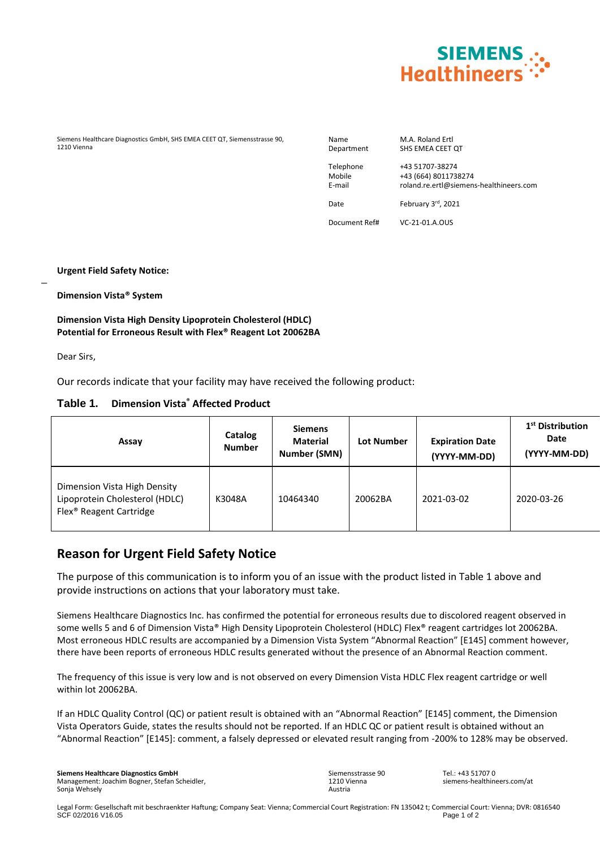

Siemens Healthcare Diagnostics GmbH, SHS EMEA CEET QT, Siemensstrasse 90, 1210 Vienna

Name M.A. Roland Ertl<br>Department SHS EMEA CEET SHS EMEA CEET QT

Telephone +43 51707-38274 Mobile +43 (664) 8011738274 E-mail roland.re.ertl@siemens-healthineers.com

Date February 3rd, 2021

Document Ref# VC-21-01.A.OUS

**Urgent Field Safety Notice:**

**Dimension Vista® System**

#### **Dimension Vista High Density Lipoprotein Cholesterol (HDLC) Potential for Erroneous Result with Flex® Reagent Lot 20062BA**

Dear Sirs,

 $\overline{a}$ 

Our records indicate that your facility may have received the following product:

#### **Table 1. Dimension Vista® Affected Product**

| Assay                                                                                                 | Catalog<br><b>Number</b> | <b>Siemens</b><br><b>Material</b><br>Number (SMN) | Lot Number | <b>Expiration Date</b><br>(YYYY-MM-DD) | 1 <sup>st</sup> Distribution<br>Date<br>(YYYY-MM-DD) |
|-------------------------------------------------------------------------------------------------------|--------------------------|---------------------------------------------------|------------|----------------------------------------|------------------------------------------------------|
| Dimension Vista High Density<br>Lipoprotein Cholesterol (HDLC)<br>Flex <sup>®</sup> Reagent Cartridge | K3048A                   | 10464340                                          | 20062BA    | 2021-03-02                             | 2020-03-26                                           |

## **Reason for Urgent Field Safety Notice**

The purpose of this communication is to inform you of an issue with the product listed in Table 1 above and provide instructions on actions that your laboratory must take.

Siemens Healthcare Diagnostics Inc. has confirmed the potential for erroneous results due to discolored reagent observed in some wells 5 and 6 of Dimension Vista® High Density Lipoprotein Cholesterol (HDLC) Flex® reagent cartridges lot 20062BA. Most erroneous HDLC results are accompanied by a Dimension Vista System "Abnormal Reaction" [E145] comment however, there have been reports of erroneous HDLC results generated without the presence of an Abnormal Reaction comment.

The frequency of this issue is very low and is not observed on every Dimension Vista HDLC Flex reagent cartridge or well within lot 20062BA.

If an HDLC Quality Control (QC) or patient result is obtained with an "Abnormal Reaction" [E145] comment, the Dimension Vista Operators Guide, states the results should not be reported. If an HDLC QC or patient result is obtained without an "Abnormal Reaction" [E145]: comment, a falsely depressed or elevated result ranging from -200% to 128% may be observed.

Sonja Wehsely **Siemens Healthcare Diagnostics GmbH** Management: Joachim Bogner, Stefan Scheidler, Siemensstrasse 90 1210 Vienna Austria

 $Tel: +43517070$ siemens-healthineers.com/at